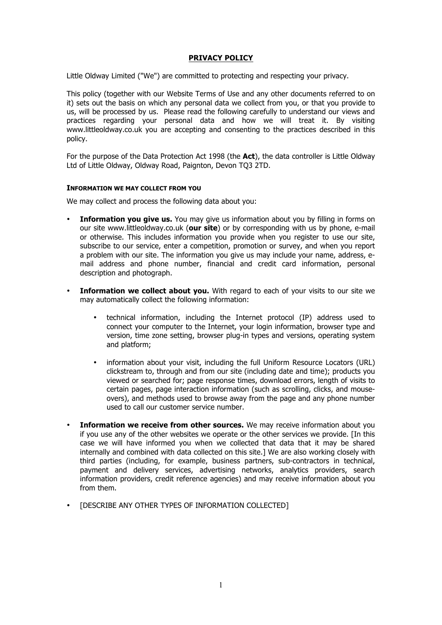# **PRIVACY POLICY**

Little Oldway Limited ("We") are committed to protecting and respecting your privacy.

This policy (together with our Website Terms of Use and any other documents referred to on it) sets out the basis on which any personal data we collect from you, or that you provide to us, will be processed by us. Please read the following carefully to understand our views and practices regarding your personal data and how we will treat it. By visiting www.littleoldway.co.uk you are accepting and consenting to the practices described in this policy.

For the purpose of the Data Protection Act 1998 (the **Act**), the data controller is Little Oldway Ltd of Little Oldway, Oldway Road, Paignton, Devon TQ3 2TD.

### **INFORMATION WE MAY COLLECT FROM YOU**

We may collect and process the following data about you:

- **Information you give us.** You may give us information about you by filling in forms on our site www.littleoldway.co.uk (**our site**) or by corresponding with us by phone, e-mail or otherwise. This includes information you provide when you register to use our site, subscribe to our service, enter a competition, promotion or survey, and when you report a problem with our site. The information you give us may include your name, address, email address and phone number, financial and credit card information, personal description and photograph.
- **Information we collect about you.** With regard to each of your visits to our site we may automatically collect the following information:
	- technical information, including the Internet protocol (IP) address used to connect your computer to the Internet, your login information, browser type and version, time zone setting, browser plug-in types and versions, operating system and platform;
	- information about your visit, including the full Uniform Resource Locators (URL) clickstream to, through and from our site (including date and time); products you viewed or searched for; page response times, download errors, length of visits to certain pages, page interaction information (such as scrolling, clicks, and mouseovers), and methods used to browse away from the page and any phone number used to call our customer service number.
- **Information we receive from other sources.** We may receive information about you if you use any of the other websites we operate or the other services we provide. [In this case we will have informed you when we collected that data that it may be shared internally and combined with data collected on this site.] We are also working closely with third parties (including, for example, business partners, sub-contractors in technical, payment and delivery services, advertising networks, analytics providers, search information providers, credit reference agencies) and may receive information about you from them.
- [DESCRIBE ANY OTHER TYPES OF INFORMATION COLLECTED]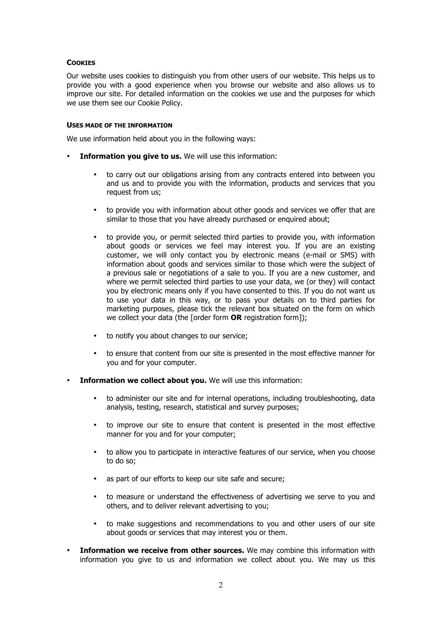### **COOKIES**

Our website uses cookies to distinguish you from other users of our website. This helps us to provide you with a good experience when you browse our website and also allows us to improve our site. For detailed information on the cookies we use and the purposes for which we use them see our Cookie Policy.

### **USES MADE OF THE INFORMATION**

We use information held about you in the following ways:

- **Information you give to us.** We will use this information:
	- to carry out our obligations arising from any contracts entered into between you and us and to provide you with the information, products and services that you request from us;
	- to provide you with information about other goods and services we offer that are similar to those that you have already purchased or enquired about;
	- to provide you, or permit selected third parties to provide you, with information about goods or services we feel may interest you. If you are an existing customer, we will only contact you by electronic means (e-mail or SMS) with information about goods and services similar to those which were the subject of a previous sale or negotiations of a sale to you. If you are a new customer, and where we permit selected third parties to use your data, we (or they) will contact you by electronic means only if you have consented to this. If you do not want us to use your data in this way, or to pass your details on to third parties for marketing purposes, please tick the relevant box situated on the form on which we collect your data (the [order form **OR** registration form]);
	- to notify you about changes to our service;
	- to ensure that content from our site is presented in the most effective manner for you and for your computer.
- **Information we collect about you.** We will use this information:
	- to administer our site and for internal operations, including troubleshooting, data analysis, testing, research, statistical and survey purposes;
	- to improve our site to ensure that content is presented in the most effective manner for you and for your computer;
	- to allow you to participate in interactive features of our service, when you choose to do so;
	- as part of our efforts to keep our site safe and secure;
	- to measure or understand the effectiveness of advertising we serve to you and others, and to deliver relevant advertising to you;
	- to make suggestions and recommendations to you and other users of our site about goods or services that may interest you or them.
- **Information we receive from other sources.** We may combine this information with information you give to us and information we collect about you. We may us this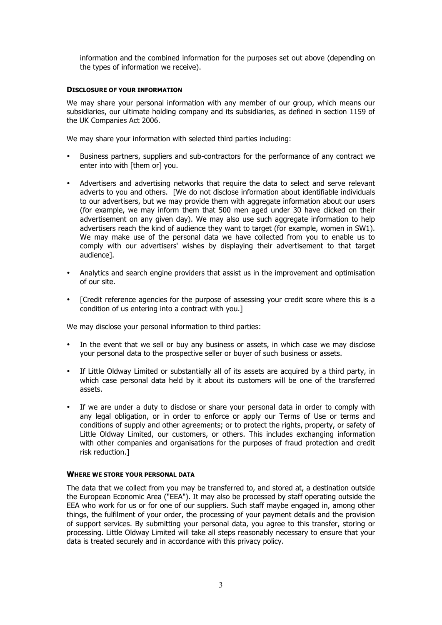information and the combined information for the purposes set out above (depending on the types of information we receive).

### **DISCLOSURE OF YOUR INFORMATION**

We may share your personal information with any member of our group, which means our subsidiaries, our ultimate holding company and its subsidiaries, as defined in section 1159 of the UK Companies Act 2006.

We may share your information with selected third parties including:

- Business partners, suppliers and sub-contractors for the performance of any contract we enter into with [them or] you.
- Advertisers and advertising networks that require the data to select and serve relevant adverts to you and others. [We do not disclose information about identifiable individuals to our advertisers, but we may provide them with aggregate information about our users (for example, we may inform them that 500 men aged under 30 have clicked on their advertisement on any given day). We may also use such aggregate information to help advertisers reach the kind of audience they want to target (for example, women in SW1). We may make use of the personal data we have collected from you to enable us to comply with our advertisers' wishes by displaying their advertisement to that target audience].
- Analytics and search engine providers that assist us in the improvement and optimisation of our site.
- [Credit reference agencies for the purpose of assessing your credit score where this is a condition of us entering into a contract with you.]

We may disclose your personal information to third parties:

- In the event that we sell or buy any business or assets, in which case we may disclose your personal data to the prospective seller or buyer of such business or assets.
- If Little Oldway Limited or substantially all of its assets are acquired by a third party, in which case personal data held by it about its customers will be one of the transferred assets.
- If we are under a duty to disclose or share your personal data in order to comply with any legal obligation, or in order to enforce or apply our Terms of Use or terms and conditions of supply and other agreements; or to protect the rights, property, or safety of Little Oldway Limited, our customers, or others. This includes exchanging information with other companies and organisations for the purposes of fraud protection and credit risk reduction.]

### **WHERE WE STORE YOUR PERSONAL DATA**

The data that we collect from you may be transferred to, and stored at, a destination outside the European Economic Area ("EEA"). It may also be processed by staff operating outside the EEA who work for us or for one of our suppliers. Such staff maybe engaged in, among other things, the fulfilment of your order, the processing of your payment details and the provision of support services. By submitting your personal data, you agree to this transfer, storing or processing. Little Oldway Limited will take all steps reasonably necessary to ensure that your data is treated securely and in accordance with this privacy policy.